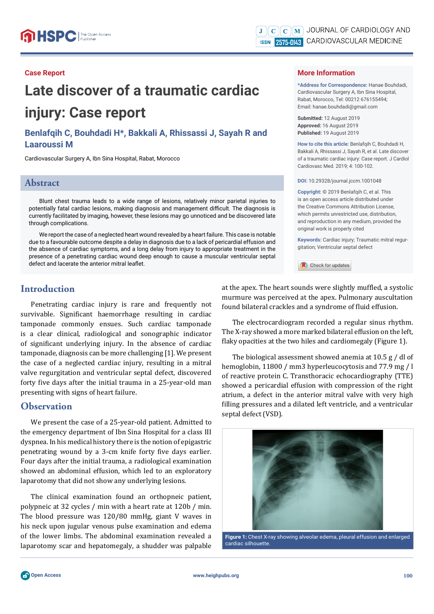#### **Case Report**

# **Late discover of a traumatic cardiac injury: Case report**

**Benlafqih C, Bouhdadi H\*, Bakkali A, Rhissassi J, Sayah R and Laaroussi M**

Cardiovascular Surgery A, Ibn Sina Hospital, Rabat, Morocco

#### **Abstract**

Blunt chest trauma leads to a wide range of lesions, relatively minor parietal injuries to potentially fatal cardiac lesions, making diagnosis and management difficult. The diagnosis is currently facilitated by imaging, however, these lesions may go unnoticed and be discovered late through complications.

We report the case of a neglected heart wound revealed by a heart failure. This case is notable due to a favourable outcome despite a delay in diagnosis due to a lack of pericardial effusion and the absence of cardiac symptoms, and a long delay from injury to appropriate treatment in the presence of a penetrating cardiac wound deep enough to cause a muscular ventricular septal defect and lacerate the anterior mitral leaflet.

### **Introduction**

Penetrating cardiac injury is rare and frequently not survivable. Significant haemorrhage resulting in cardiac tamponade commonly ensues. Such cardiac tamponade is a clear clinical, radiological and sonographic indicator of significant underlying injury. In the absence of cardiac tamponade, diagnosis can be more challenging [1]. We present the case of a neglected cardiac injury, resulting in a mitral valve regurgitation and ventricular septal defect, discovered forty five days after the initial trauma in a 25-year-old man presenting with signs of heart failure.

### **Observation**

We present the case of a 25-year-old patient. Admitted to the emergency department of Ibn Sina Hospital for a class III dyspnea. In his medical history there is the notion of epigastric penetrating wound by a 3-cm knife forty five days earlier. Four days after the initial trauma, a radiological examination showed an abdominal effusion, which led to an exploratory laparotomy that did not show any underlying lesions.

The clinical examination found an orthopneic patient, polypneic at 32 cycles / min with a heart rate at 120b / min. The blood pressure was 120/80 mmHg, giant V waves in his neck upon jugular venous pulse examination and edema of the lower limbs. The abdominal examination revealed a laparotomy scar and hepatomegaly, a shudder was palpable

#### **More Information**

**\*Address for Correspondence:** Hanae Bouhdadi, Cardiovascular Surgery A, Ibn Sina Hospital, Rabat, Morocco, Tel: 00212 676155494; Email: hanae.bouhdadi@gmail.com

**Submitted:** 12 August 2019 **Approved:** 16 August 2019 **Published:** 19 August 2019

How to cite this article: Benlafgih C, Bouhdadi H, Bakkali A, Rhissassi J, Sayah R, et al. Late discover of a traumatic cardiac injury: Case report. J Cardiol Cardiovasc Med. 2019; 4: 100-102.

**DOI:** 10.29328/journal.jccm.1001048

**Copyright: ©** 2019 Benlafqih C, et al. This is an open access article distributed under the Creative Commons Attribution License, which permits unrestricted use, distribution, and reproduction in any medium, provided the original work is properly cited

**Keywords:** Cardiac injury; Traumatic mitral regurgitation; Ventricular septal defect

Check for updates

at the apex. The heart sounds were slightly muffled, a systolic murmure was perceived at the apex. Pulmonary auscultation found bilateral crackles and a syndrome of fluid effusion.

The electrocardiogram recorded a regular sinus rhythm. The X-ray showed a more marked bilateral effusion on the left, flaky opacities at the two hiles and cardiomegaly (Figure 1).

The biological assessment showed anemia at 10.5 g / dl of hemoglobin, 11800 / mm3 hyperleucocytosis and 77.9 mg / l of reactive protein C. Transthoracic echocardiography (TTE) showed a pericardial effusion with compression of the right atrium, a defect in the anterior mitral valve with very high filling pressures and a dilated left ventricle, and a ventricular septal defect (VSD).



**Figure 1:** Chest X-ray showing alveolar edema, pleural effusion and enlarged cardiac silhouette.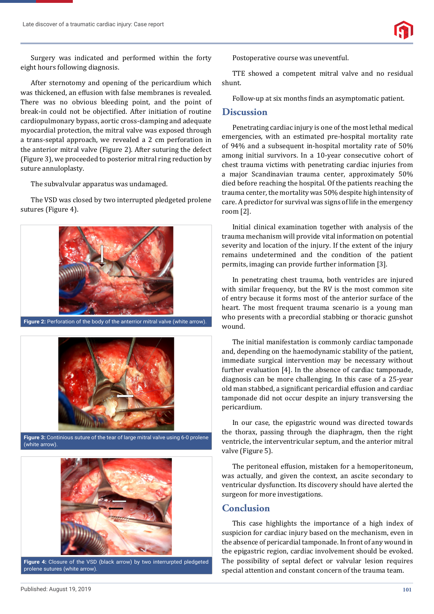

Surgery was indicated and performed within the forty eight hours following diagnosis.

After sternotomy and opening of the pericardium which was thickened, an effusion with false membranes is revealed. There was no obvious bleeding point, and the point of break-in could not be objectified. After initiation of routine cardiopulmonary bypass, aortic cross-clamping and adequate myocardial protection, the mitral valve was exposed through a trans-septal approach, we revealed a 2 cm perforation in the anterior mitral valve (Figure 2). After suturing the defect (Figure 3), we proceeded to posterior mitral ring reduction by suture annuloplasty.

The subvalvular apparatus was undamaged.

The VSD was closed by two interrupted pledgeted prolene sutures (Figure 4).



**Figure 2:** Perforation of the body of the anterrior mitral valve (white arrow).



**Figure 3:** Continious suture of the tear of large mitral valve using 6-0 prolene (white arrow).



**Figure 4:** Closure of the VSD (black arrow) by two interrurpted pledgeted prolene sutures (white arrow).

Postoperative course was uneventful.

TTE showed a competent mitral valve and no residual shunt.

Follow-up at six months finds an asymptomatic patient.

#### **Discussion**

Penetrating cardiac injury is one of the most lethal medical emergencies, with an estimated pre-hospital mortality rate of 94% and a subsequent in-hospital mortality rate of 50% among initial survivors. In a 10-year consecutive cohort of chest trauma victims with penetrating cardiac injuries from a major Scandinavian trauma center, approximately 50% died before reaching the hospital. Of the patients reaching the trauma center, the mortality was 50% despite high intensity of care. A predictor for survival was signs of life in the emergency room [2].

Initial clinical examination together with analysis of the trauma mechanism will provide vital information on potential severity and location of the injury. If the extent of the injury remains undetermined and the condition of the patient permits, imaging can provide further information [3].

In penetrating chest trauma, both ventricles are injured with similar frequency, but the RV is the most common site of entry because it forms most of the anterior surface of the heart. The most frequent trauma scenario is a young man who presents with a precordial stabbing or thoracic gunshot wound.

The initial manifestation is commonly cardiac tamponade and, depending on the haemodynamic stability of the patient, immediate surgical intervention may be necessary without further evaluation [4]. In the absence of cardiac tamponade, diagnosis can be more challenging. In this case of a 25-year old man stabbed, a significant pericardial effusion and cardiac tamponade did not occur despite an injury transversing the pericardium.

In our case, the epigastric wound was directed towards the thorax, passing through the diaphragm, then the right ventricle, the interventricular septum, and the anterior mitral valve (Figure 5).

The peritoneal effusion, mistaken for a hemoperitoneum, was actually, and given the context, an ascite secondary to ventricular dysfunction. Its discovery should have alerted the surgeon for more investigations.

## **Conclusion**

This case highlights the importance of a high index of suspicion for cardiac injury based on the mechanism, even in the absence of pericardial tamponade. In front of any wound in the epigastric region, cardiac involvement should be evoked. The possibility of septal defect or valvular lesion requires special attention and constant concern of the trauma team.